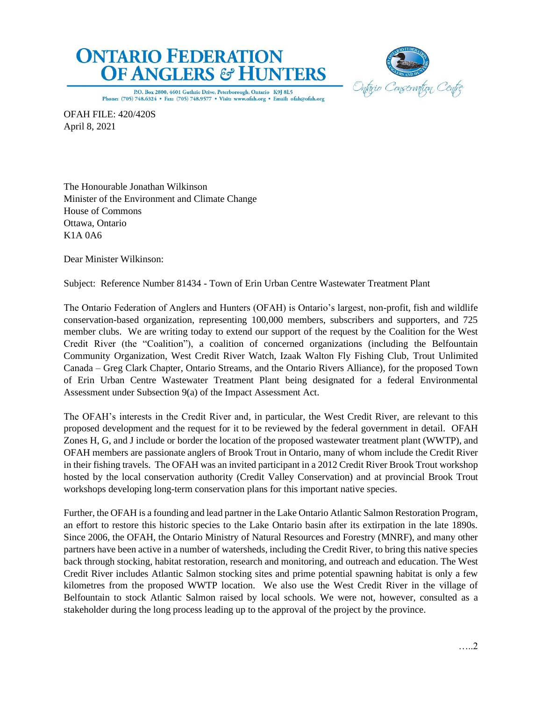



P.O. Box 2800, 4601 Guthrie Drive, Peterborough, Ontario K9J 8L5 Phone: (705) 748.6324 . Fax: (705) 748.9577 . Visit: www.ofah.org . Email: ofah@ofah.org

OFAH FILE: 420/420S April 8, 2021

The Honourable Jonathan Wilkinson Minister of the Environment and Climate Change House of Commons Ottawa, Ontario K1A 0A6

Dear Minister Wilkinson:

Subject: Reference Number 81434 - Town of Erin Urban Centre Wastewater Treatment Plant

The Ontario Federation of Anglers and Hunters (OFAH) is Ontario's largest, non-profit, fish and wildlife conservation-based organization, representing 100,000 members, subscribers and supporters, and 725 member clubs. We are writing today to extend our support of the request by the Coalition for the West Credit River (the "Coalition"), a coalition of concerned organizations (including the Belfountain Community Organization, West Credit River Watch, Izaak Walton Fly Fishing Club, Trout Unlimited Canada – Greg Clark Chapter, Ontario Streams, and the Ontario Rivers Alliance), for the proposed Town of Erin Urban Centre Wastewater Treatment Plant being designated for a federal Environmental Assessment under Subsection 9(a) of the Impact Assessment Act.

The OFAH's interests in the Credit River and, in particular, the West Credit River, are relevant to this proposed development and the request for it to be reviewed by the federal government in detail. OFAH Zones H, G, and J include or border the location of the proposed wastewater treatment plant (WWTP), and OFAH members are passionate anglers of Brook Trout in Ontario, many of whom include the Credit River in their fishing travels. The OFAH was an invited participant in a 2012 Credit River Brook Trout workshop hosted by the local conservation authority (Credit Valley Conservation) and at provincial Brook Trout workshops developing long-term conservation plans for this important native species.

Further, the OFAH is a founding and lead partner in the Lake Ontario Atlantic Salmon Restoration Program, an effort to restore this historic species to the Lake Ontario basin after its extirpation in the late 1890s. Since 2006, the OFAH, the Ontario Ministry of Natural Resources and Forestry (MNRF), and many other partners have been active in a number of watersheds, including the Credit River, to bring this native species back through stocking, habitat restoration, research and monitoring, and outreach and education. The West Credit River includes Atlantic Salmon stocking sites and prime potential spawning habitat is only a few kilometres from the proposed WWTP location. We also use the West Credit River in the village of Belfountain to stock Atlantic Salmon raised by local schools. We were not, however, consulted as a stakeholder during the long process leading up to the approval of the project by the province.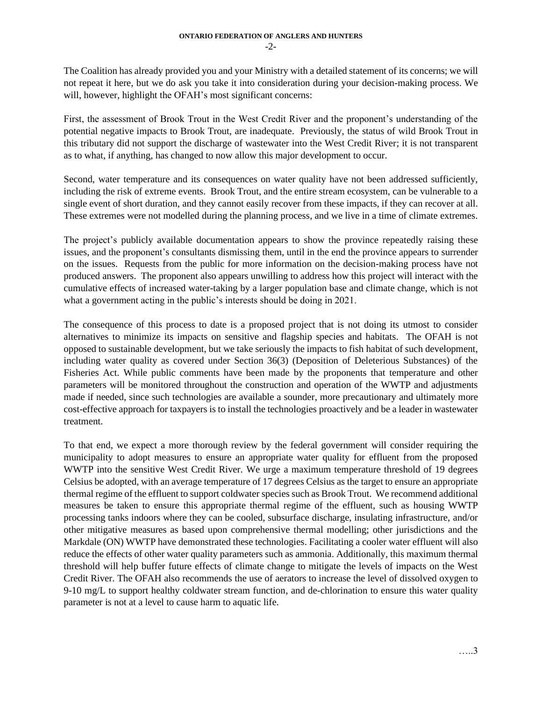The Coalition has already provided you and your Ministry with a detailed statement of its concerns; we will not repeat it here, but we do ask you take it into consideration during your decision-making process. We will, however, highlight the OFAH's most significant concerns:

First, the assessment of Brook Trout in the West Credit River and the proponent's understanding of the potential negative impacts to Brook Trout, are inadequate. Previously, the status of wild Brook Trout in this tributary did not support the discharge of wastewater into the West Credit River; it is not transparent as to what, if anything, has changed to now allow this major development to occur.

Second, water temperature and its consequences on water quality have not been addressed sufficiently, including the risk of extreme events. Brook Trout, and the entire stream ecosystem, can be vulnerable to a single event of short duration, and they cannot easily recover from these impacts, if they can recover at all. These extremes were not modelled during the planning process, and we live in a time of climate extremes.

The project's publicly available documentation appears to show the province repeatedly raising these issues, and the proponent's consultants dismissing them, until in the end the province appears to surrender on the issues. Requests from the public for more information on the decision-making process have not produced answers. The proponent also appears unwilling to address how this project will interact with the cumulative effects of increased water-taking by a larger population base and climate change, which is not what a government acting in the public's interests should be doing in 2021.

The consequence of this process to date is a proposed project that is not doing its utmost to consider alternatives to minimize its impacts on sensitive and flagship species and habitats. The OFAH is not opposed to sustainable development, but we take seriously the impacts to fish habitat of such development, including water quality as covered under Section 36(3) (Deposition of Deleterious Substances) of the Fisheries Act. While public comments have been made by the proponents that temperature and other parameters will be monitored throughout the construction and operation of the WWTP and adjustments made if needed, since such technologies are available a sounder, more precautionary and ultimately more cost-effective approach for taxpayers is to install the technologies proactively and be a leader in wastewater treatment.

To that end, we expect a more thorough review by the federal government will consider requiring the municipality to adopt measures to ensure an appropriate water quality for effluent from the proposed WWTP into the sensitive West Credit River. We urge a maximum temperature threshold of 19 degrees Celsius be adopted, with an average temperature of 17 degrees Celsius as the target to ensure an appropriate thermal regime of the effluent to support coldwater species such as Brook Trout. We recommend additional measures be taken to ensure this appropriate thermal regime of the effluent, such as housing WWTP processing tanks indoors where they can be cooled, subsurface discharge, insulating infrastructure, and/or other mitigative measures as based upon comprehensive thermal modelling; other jurisdictions and the Markdale (ON) WWTP have demonstrated these technologies. Facilitating a cooler water effluent will also reduce the effects of other water quality parameters such as ammonia. Additionally, this maximum thermal threshold will help buffer future effects of climate change to mitigate the levels of impacts on the West Credit River. The OFAH also recommends the use of aerators to increase the level of dissolved oxygen to 9-10 mg/L to support healthy coldwater stream function, and de-chlorination to ensure this water quality parameter is not at a level to cause harm to aquatic life.